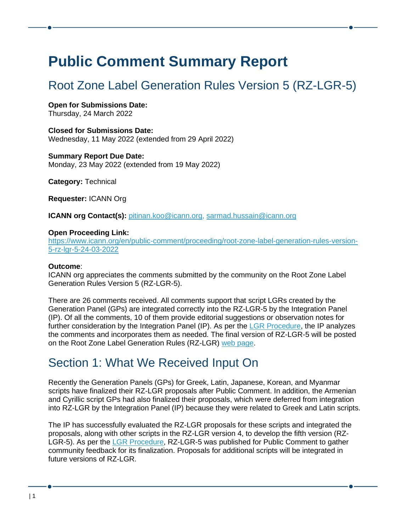# **Public Comment Summary Report**

## Root Zone Label Generation Rules Version 5 (RZ-LGR-5)

**Open for Submissions Date:** Thursday, 24 March 2022

**Closed for Submissions Date:** Wednesday, 11 May 2022 (extended from 29 April 2022)

**Summary Report Due Date:** Monday, 23 May 2022 (extended from 19 May 2022)

**Category:** Technical

**Requester:** ICANN Org

**ICANN org Contact(s):** [pitinan.koo@icann.org,](mailto:pitinan.koo@icann.org) [sarmad.hussain@icann.org](mailto:sarmad.hussain@icann.org)

#### **Open Proceeding Link:**

[https://www.icann.org/en/public-comment/proceeding/root-zone-label-generation-rules-version-](https://www.icann.org/en/public-comment/proceeding/root-zone-label-generation-rules-version-5-rz-lgr-5-24-03-2022)[5-rz-lgr-5-24-03-2022](https://www.icann.org/en/public-comment/proceeding/root-zone-label-generation-rules-version-5-rz-lgr-5-24-03-2022)

### **Outcome**:

ICANN org appreciates the comments submitted by the community on the Root Zone Label Generation Rules Version 5 (RZ-LGR-5).

There are 26 comments received. All comments support that script LGRs created by the Generation Panel (GPs) are integrated correctly into the RZ-LGR-5 by the Integration Panel (IP). Of all the comments, 10 of them provide editorial suggestions or observation notes for further consideration by the Integration Panel (IP). As per the [LGR Procedure,](https://www.icann.org/en/system/files/files/lgr-procedure-20mar13-en.pdf) the IP analyzes the comments and incorporates them as needed. The final version of RZ-LGR-5 will be posted on the Root Zone Label Generation Rules (RZ-LGR) web [page.](https://www.icann.org/resources/pages/root-zone-lgr-2015-06-21-en)

### Section 1: What We Received Input On

Recently the Generation Panels (GPs) for Greek, Latin, Japanese, Korean, and Myanmar scripts have finalized their RZ-LGR proposals after Public Comment. In addition, the Armenian and Cyrillic script GPs had also finalized their proposals, which were deferred from integration into RZ-LGR by the Integration Panel (IP) because they were related to Greek and Latin scripts.

The IP has successfully evaluated the RZ-LGR proposals for these scripts and integrated the proposals, along with other scripts in the RZ-LGR version 4, to develop the fifth version (RZ-LGR-5). As per the [LGR Procedure,](https://www.icann.org/en/system/files/files/lgr-procedure-20mar13-en.pdf) RZ-LGR-5 was published for Public Comment to gather community feedback for its finalization. Proposals for additional scripts will be integrated in future versions of RZ-LGR.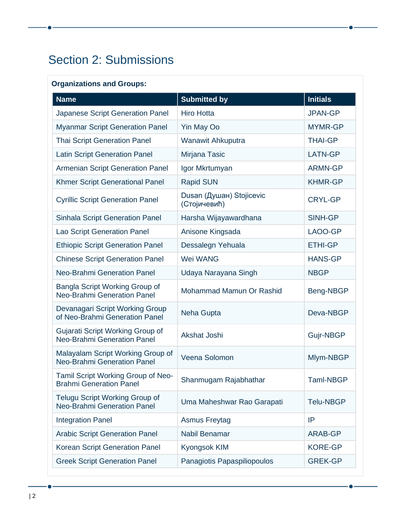## Section 2: Submissions

### **Organizations and Groups:**

| <b>Name</b>                                                          | <b>Submitted by</b>                      | <b>Initials</b>  |
|----------------------------------------------------------------------|------------------------------------------|------------------|
| Japanese Script Generation Panel                                     | <b>Hiro Hotta</b>                        | <b>JPAN-GP</b>   |
| <b>Myanmar Script Generation Panel</b>                               | <b>Yin May Oo</b>                        | <b>MYMR-GP</b>   |
| <b>Thai Script Generation Panel</b>                                  | Wanawit Ahkuputra                        | <b>THAI-GP</b>   |
| <b>Latin Script Generation Panel</b>                                 | Mirjana Tasic                            | LATN-GP          |
| <b>Armenian Script Generation Panel</b>                              | Igor Mkrtumyan                           | <b>ARMN-GP</b>   |
| Khmer Script Generational Panel                                      | <b>Rapid SUN</b>                         | <b>KHMR-GP</b>   |
| <b>Cyrillic Script Generation Panel</b>                              | Dusan (Душан) Stojicevic<br>(Стојичевић) | <b>CRYL-GP</b>   |
| <b>Sinhala Script Generation Panel</b>                               | Harsha Wijayawardhana                    | SINH-GP          |
| Lao Script Generation Panel                                          | Anisone Kingsada                         | LAOO-GP          |
| <b>Ethiopic Script Generation Panel</b>                              | Dessalegn Yehuala                        | <b>ETHI-GP</b>   |
| <b>Chinese Script Generation Panel</b>                               | Wei WANG                                 | <b>HANS-GP</b>   |
| Neo-Brahmi Generation Panel                                          | Udaya Narayana Singh                     | <b>NBGP</b>      |
| Bangla Script Working Group of<br><b>Neo-Brahmi Generation Panel</b> | Mohammad Mamun Or Rashid                 | Beng-NBGP        |
| Devanagari Script Working Group<br>of Neo-Brahmi Generation Panel    | Neha Gupta                               | Deva-NBGP        |
| Gujarati Script Working Group of<br>Neo-Brahmi Generation Panel      | Akshat Joshi                             | Gujr-NBGP        |
| Malayalam Script Working Group of<br>Neo-Brahmi Generation Panel     | Veena Solomon                            | Mlym-NBGP        |
| Tamil Script Working Group of Neo-<br><b>Brahmi Generation Panel</b> | Shanmugam Rajabhathar                    | <b>Taml-NBGP</b> |
| <b>Telugu Script Working Group of</b><br>Neo-Brahmi Generation Panel | Uma Maheshwar Rao Garapati               | <b>Telu-NBGP</b> |
| <b>Integration Panel</b>                                             | <b>Asmus Freytag</b>                     | IP               |
| <b>Arabic Script Generation Panel</b>                                | Nabil Benamar                            | ARAB-GP          |
| Korean Script Generation Panel                                       | Kyongsok KIM                             | <b>KORE-GP</b>   |
| <b>Greek Script Generation Panel</b>                                 | Panagiotis Papaspiliopoulos              | <b>GREK-GP</b>   |

 $\bullet$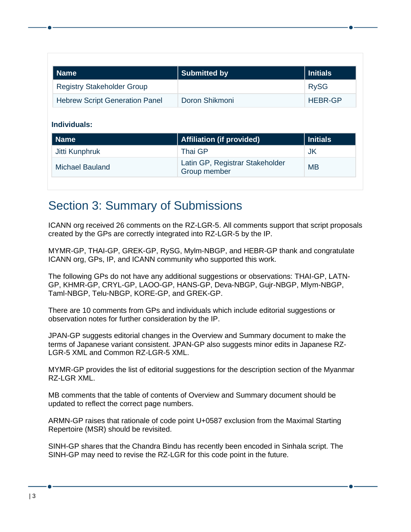| <b>Name</b>                           | <b>Submitted by</b>              | <b>Initials</b> |
|---------------------------------------|----------------------------------|-----------------|
| <b>Registry Stakeholder Group</b>     |                                  | <b>RySG</b>     |
| <b>Hebrew Script Generation Panel</b> | Doron Shikmoni                   | <b>HEBR-GP</b>  |
| Individuals:                          |                                  |                 |
| <b>Name</b>                           | <b>Affiliation (if provided)</b> | <b>Initials</b> |
| Jitti Kunphruk                        | <b>Thai GP</b>                   | <b>JK</b>       |

## Section 3: Summary of Submissions

ICANN org received 26 comments on the RZ-LGR-5. All comments support that script proposals created by the GPs are correctly integrated into RZ-LGR-5 by the IP.

MYMR-GP, THAI-GP, GREK-GP, RySG, Mylm-NBGP, and HEBR-GP thank and congratulate ICANN org, GPs, IP, and ICANN community who supported this work.

The following GPs do not have any additional suggestions or observations: THAI-GP, LATN-GP, KHMR-GP, CRYL-GP, LAOO-GP, HANS-GP, Deva-NBGP, Gujr-NBGP, Mlym-NBGP, Taml-NBGP, Telu-NBGP, KORE-GP, and GREK-GP.

There are 10 comments from GPs and individuals which include editorial suggestions or observation notes for further consideration by the IP.

JPAN-GP suggests editorial changes in the Overview and Summary document to make the terms of Japanese variant consistent. JPAN-GP also suggests minor edits in Japanese RZ-LGR-5 XML and Common RZ-LGR-5 XML.

MYMR-GP provides the list of editorial suggestions for the description section of the Myanmar RZ-LGR XML.

MB comments that the table of contents of Overview and Summary document should be updated to reflect the correct page numbers.

ARMN-GP raises that rationale of code point U+0587 exclusion from the Maximal Starting Repertoire (MSR) should be revisited.

SINH-GP shares that the Chandra Bindu has recently been encoded in Sinhala script. The SINH-GP may need to revise the RZ-LGR for this code point in the future.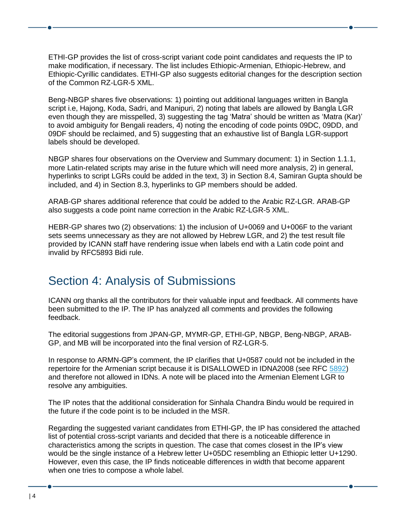ETHI-GP provides the list of cross-script variant code point candidates and requests the IP to make modification, if necessary. The list includes Ethiopic-Armenian, Ethiopic-Hebrew, and Ethiopic-Cyrillic candidates. ETHI-GP also suggests editorial changes for the description section of the Common RZ-LGR-5 XML.

Beng-NBGP shares five observations: 1) pointing out additional languages written in Bangla script i.e, Hajong, Koda, Sadri, and Manipuri, 2) noting that labels are allowed by Bangla LGR even though they are misspelled, 3) suggesting the tag 'Matra' should be written as 'Matra (Kar)' to avoid ambiguity for Bengali readers, 4) noting the encoding of code points 09DC, 09DD, and 09DF should be reclaimed, and 5) suggesting that an exhaustive list of Bangla LGR-support labels should be developed.

NBGP shares four observations on the Overview and Summary document: 1) in Section 1.1.1, more Latin-related scripts may arise in the future which will need more analysis, 2) in general, hyperlinks to script LGRs could be added in the text, 3) in Section 8.4, Samiran Gupta should be included, and 4) in Section 8.3, hyperlinks to GP members should be added.

ARAB-GP shares additional reference that could be added to the Arabic RZ-LGR. ARAB-GP also suggests a code point name correction in the Arabic RZ-LGR-5 XML.

HEBR-GP shares two (2) observations: 1) the inclusion of U+0069 and U+006F to the variant sets seems unnecessary as they are not allowed by Hebrew LGR, and 2) the test result file provided by ICANN staff have rendering issue when labels end with a Latin code point and invalid by RFC5893 Bidi rule.

## Section 4: Analysis of Submissions

ICANN org thanks all the contributors for their valuable input and feedback. All comments have been submitted to the IP. The IP has analyzed all comments and provides the following feedback.

The editorial suggestions from JPAN-GP, MYMR-GP, ETHI-GP, NBGP, Beng-NBGP, ARAB-GP, and MB will be incorporated into the final version of RZ-LGR-5.

In response to ARMN-GP's comment, the IP clarifies that U+0587 could not be included in the repertoire for the Armenian script because it is DISALLOWED in IDNA2008 (see RFC [5892\)](https://datatracker.ietf.org/doc/html/rfc5892) and therefore not allowed in IDNs. A note will be placed into the Armenian Element LGR to resolve any ambiguities.

The IP notes that the additional consideration for Sinhala Chandra Bindu would be required in the future if the code point is to be included in the MSR.

Regarding the suggested variant candidates from ETHI-GP, the IP has considered the attached list of potential cross-script variants and decided that there is a noticeable difference in characteristics among the scripts in question. The case that comes closest in the IP's view would be the single instance of a Hebrew letter U+05DC resembling an Ethiopic letter U+1290. However, even this case, the IP finds noticeable differences in width that become apparent when one tries to compose a whole label.